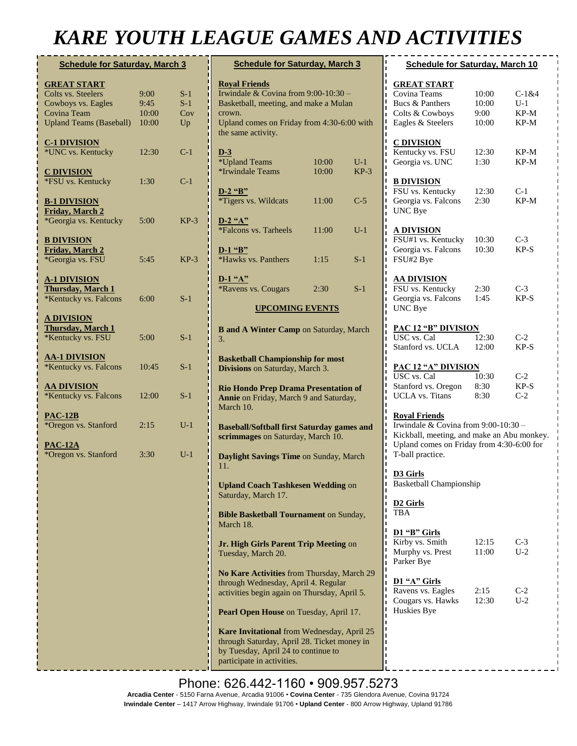## *KARE YOUTH LEAGUE GAMES AND ACTIVITIES*

| <b>Schedule for Saturday, March 3</b>                                     |                |                |
|---------------------------------------------------------------------------|----------------|----------------|
| <b>GREAT START</b><br>Colts vs. Steelers<br>Cowboys vs. Eagles            | 9:00<br>9:45   | $S-1$<br>$S-1$ |
| Covina Team<br><b>Upland Teams (Baseball)</b>                             | 10:00<br>10:00 | Cov<br>Up      |
| <b>C-1 DIVISION</b><br>*UNC vs. Kentucky                                  | 12:30          | $C-1$          |
| <b>C DIVISION</b><br>*FSU vs. Kentucky                                    | 1:30           | $C-1$          |
| <b>B-1 DIVISION</b><br><b>Friday, March 2</b><br>*Georgia vs. Kentucky    | 5:00           | $KP-3$         |
| <b>B DIVISION</b><br>Friday, March 2<br>*Georgia vs. FSU                  | 5:45           | KP-3           |
| <b>A-1 DIVISION</b><br><b>Thursday</b> , March 1<br>*Kentucky vs. Falcons | 6:00           | $S-1$          |
| <b>A DIVISION</b><br>Thursday, March 1<br>*Kentucky vs. FSU               | 5:00           | $S-1$          |
| <u>AA-1 DIVISION</u><br>*Kentucky vs. Falcons                             | 10:45          | $S-1$          |
| <u>AA DIVISION</u><br>*Kentucky vs. Falcons                               | 12:00          | $S-1$          |
| <u>PAC-12B</u><br>*Oregon vs. Stanford                                    | 2:15           | $U-1$          |
| <b>PAC-12A</b><br>*Oregon vs. Stanford                                    | 3:30           | $U-1$          |
|                                                                           |                |                |
|                                                                           |                |                |
|                                                                           |                |                |
|                                                                           |                |                |
|                                                                           |                |                |
|                                                                           |                |                |

| <b>Schedule for Saturday, March 3</b>                                                                                                                          |                |                 |  |  |
|----------------------------------------------------------------------------------------------------------------------------------------------------------------|----------------|-----------------|--|--|
| <b>Royal Friends</b><br>Irwindale & Covina from $9:00-10:30-$                                                                                                  |                |                 |  |  |
| Basketball, meeting, and make a Mulan                                                                                                                          |                |                 |  |  |
| crown.<br>Upland comes on Friday from 4:30-6:00 with<br>the same activity.                                                                                     |                |                 |  |  |
| $D-3$                                                                                                                                                          |                |                 |  |  |
| *Upland Teams<br>*Irwindale Teams                                                                                                                              | 10:00<br>10:00 | $U-1$<br>$KP-3$ |  |  |
| $D-2$ "B"<br>*Tigers vs. Wildcats                                                                                                                              | 11:00          | $C-5$           |  |  |
| $D-2$ "A"<br>*Falcons vs. Tarheels                                                                                                                             | 11:00          | $U-1$           |  |  |
| $D-1$ "B"<br>*Hawks vs. Panthers                                                                                                                               | 1:15           | $S-1$           |  |  |
| $D-1$ "A"<br>*Ravens vs. Cougars                                                                                                                               | 2:30           | $S-1$           |  |  |
| <b>UPCOMING EVENTS</b>                                                                                                                                         |                |                 |  |  |
| <b>B</b> and A Winter Camp on Saturday, March<br>3.                                                                                                            |                |                 |  |  |
| <b>Basketball Championship for most</b><br>Divisions on Saturday, March 3.                                                                                     |                |                 |  |  |
| <b>Rio Hondo Prep Drama Presentation of</b><br>Annie on Friday, March 9 and Saturday,<br>March 10.                                                             |                |                 |  |  |
| <b>Baseball/Softball first Saturday games and</b><br>scrimmages on Saturday, March 10.                                                                         |                |                 |  |  |
| Daylight Savings Time on Sunday, March<br>11.                                                                                                                  |                |                 |  |  |
| <b>Upland Coach Tashkesen Wedding on</b><br>Saturday, March 17.                                                                                                |                |                 |  |  |
| <b>Bible Basketball Tournament on Sunday,</b><br>March 18.                                                                                                     |                |                 |  |  |
| Jr. High Girls Parent Trip Meeting on<br>Tuesday, March 20.                                                                                                    |                |                 |  |  |
| No Kare Activities from Thursday, March 29<br>through Wednesday, April 4. Regular<br>activities begin again on Thursday, April 5.                              |                |                 |  |  |
| Pearl Open House on Tuesday, April 17.                                                                                                                         |                |                 |  |  |
| Kare Invitational from Wednesday, April 25<br>through Saturday, April 28. Ticket money in<br>by Tuesday, April 24 to continue to<br>participate in activities. |                |                 |  |  |

| ND ACTIVITIES                                                                                                                                                               |               |         |  |
|-----------------------------------------------------------------------------------------------------------------------------------------------------------------------------|---------------|---------|--|
| <b>Schedule for Saturday, March 10</b>                                                                                                                                      |               |         |  |
| <b>GREAT START</b>                                                                                                                                                          |               |         |  |
| Covina Teams                                                                                                                                                                | 10:00         | $C-1&4$ |  |
| Bucs & Panthers                                                                                                                                                             | 10:00         | $U-1$   |  |
| Colts & Cowboys                                                                                                                                                             | 9:00          | KP-M    |  |
| Eagles & Steelers                                                                                                                                                           | 10:00         | KP-M    |  |
| <b>C DIVISION</b>                                                                                                                                                           |               |         |  |
| Kentucky vs. FSU                                                                                                                                                            | 12:30         | KP-M    |  |
| Georgia vs. UNC                                                                                                                                                             | 1:30          | KP-M    |  |
| <u>B DIVISION</u>                                                                                                                                                           |               |         |  |
| FSU vs. Kentucky                                                                                                                                                            | 12:30         | $C-1$   |  |
| Georgia vs. Falcons                                                                                                                                                         | 2:30          | $KP-M$  |  |
| <b>UNC Bye</b>                                                                                                                                                              |               |         |  |
| <u>A DIVISION</u>                                                                                                                                                           |               |         |  |
| FSU#1 vs. Kentucky                                                                                                                                                          | 10:30         | $C-3$   |  |
| Georgia vs. Falcons<br>FSU#2 Bye                                                                                                                                            | 10:30         | $KP-S$  |  |
|                                                                                                                                                                             |               |         |  |
| <u>AA DIVISION</u><br>FSU vs. Kentucky                                                                                                                                      | 2:30          | $C-3$   |  |
|                                                                                                                                                                             | 1:45          | $KP-S$  |  |
| Georgia vs. Falcons                                                                                                                                                         |               |         |  |
| <b>UNC</b> Bye                                                                                                                                                              |               |         |  |
| <b>PAC 12 "B" DIVISION</b>                                                                                                                                                  |               |         |  |
| USC vs. Cal                                                                                                                                                                 | 12:30         | $C-2$   |  |
| Stanford vs. UCLA                                                                                                                                                           | 12:00         | $KP-S$  |  |
| <b>PAC 12 "A" DIVISION</b>                                                                                                                                                  |               |         |  |
|                                                                                                                                                                             |               | $C-2$   |  |
| USC vs. Cal                                                                                                                                                                 | 10:30         |         |  |
| Stanford vs. Oregon                                                                                                                                                         | 8:30          | KP-S    |  |
| <b>UCLA</b> vs. Titans                                                                                                                                                      | 8:30          | $C-2$   |  |
| <b>Royal Friends</b><br>Irwindale & Covina from 9:00-10:30 -<br>Kickball, meeting, and make an Abu monkey.<br>Upland comes on Friday from 4:30-6:00 for<br>T-ball practice. |               |         |  |
| <b>D3</b> Girls<br><b>Basketball Championship</b>                                                                                                                           |               |         |  |
| D <sub>2</sub> Girls<br><b>TBA</b>                                                                                                                                          |               |         |  |
| D1 "B" Girls                                                                                                                                                                |               |         |  |
| Kirby vs. Smith                                                                                                                                                             | 12:15         | $C-3$   |  |
| Murphy vs. Prest                                                                                                                                                            | 11:00         | $U-2$   |  |
| Parker Bye                                                                                                                                                                  |               |         |  |
| D1 "A" Girls                                                                                                                                                                |               |         |  |
|                                                                                                                                                                             |               | $C-2$   |  |
| Ravens vs. Eagles<br>Cougars vs. Hawks                                                                                                                                      | 2:15<br>12:30 | $U-2$   |  |
| Huskies Bye                                                                                                                                                                 |               |         |  |

Phone: 626.442-1160 • 909.957.5273 **Arcadia Center** - 5150 Farna Avenue, Arcadia 91006 • **Covina Center** - 735 Glendora Avenue, Covina 91724 **Irwindale Center** – 1417 Arrow Highway, Irwindale 91706 • **Upland Center** - 800 Arrow Highway, Upland 91786